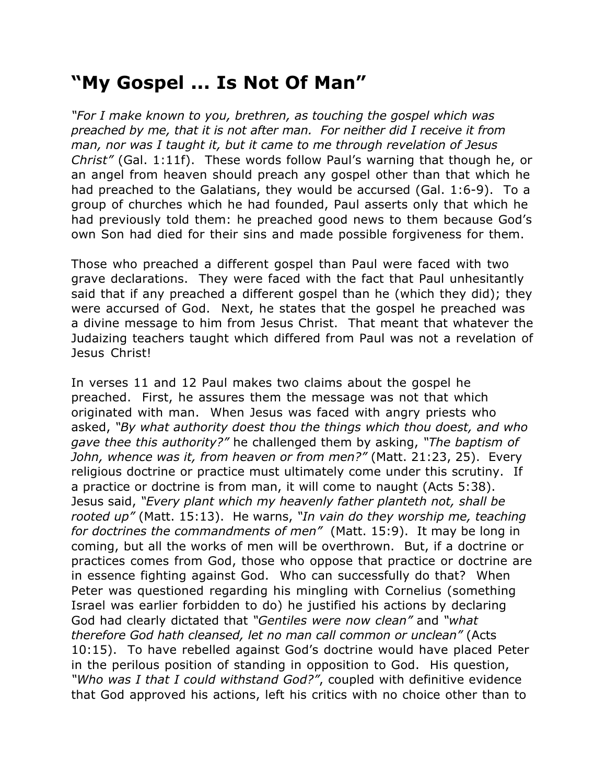## **"My Gospel ... Is Not Of Man"**

*"For I make known to you, brethren, as touching the gospel which was preached by me, that it is not after man. For neither did I receive it from man, nor was I taught it, but it came to me through revelation of Jesus Christ"* (Gal. 1:11f). These words follow Paul's warning that though he, or an angel from heaven should preach any gospel other than that which he had preached to the Galatians, they would be accursed (Gal. 1:6-9). To a group of churches which he had founded, Paul asserts only that which he had previously told them: he preached good news to them because God's own Son had died for their sins and made possible forgiveness for them.

Those who preached a different gospel than Paul were faced with two grave declarations. They were faced with the fact that Paul unhesitantly said that if any preached a different gospel than he (which they did); they were accursed of God. Next, he states that the gospel he preached was a divine message to him from Jesus Christ. That meant that whatever the Judaizing teachers taught which differed from Paul was not a revelation of Jesus Christ!

In verses 11 and 12 Paul makes two claims about the gospel he preached. First, he assures them the message was not that which originated with man. When Jesus was faced with angry priests who asked, *"By what authority doest thou the things which thou doest, and who gave thee this authority?"* he challenged them by asking, *"The baptism of John, whence was it, from heaven or from men?"* (Matt. 21:23, 25). Every religious doctrine or practice must ultimately come under this scrutiny. If a practice or doctrine is from man, it will come to naught (Acts 5:38). Jesus said, *"Every plant which my heavenly father planteth not, shall be rooted up"* (Matt. 15:13). He warns, *"In vain do they worship me, teaching for doctrines the commandments of men"* (Matt. 15:9). It may be long in coming, but all the works of men will be overthrown. But, if a doctrine or practices comes from God, those who oppose that practice or doctrine are in essence fighting against God. Who can successfully do that? When Peter was questioned regarding his mingling with Cornelius (something Israel was earlier forbidden to do) he justified his actions by declaring God had clearly dictated that *"Gentiles were now clean"* and *"what therefore God hath cleansed, let no man call common or unclean"* (Acts 10:15). To have rebelled against God's doctrine would have placed Peter in the perilous position of standing in opposition to God. His question, *"Who was I that I could withstand God?"*, coupled with definitive evidence that God approved his actions, left his critics with no choice other than to